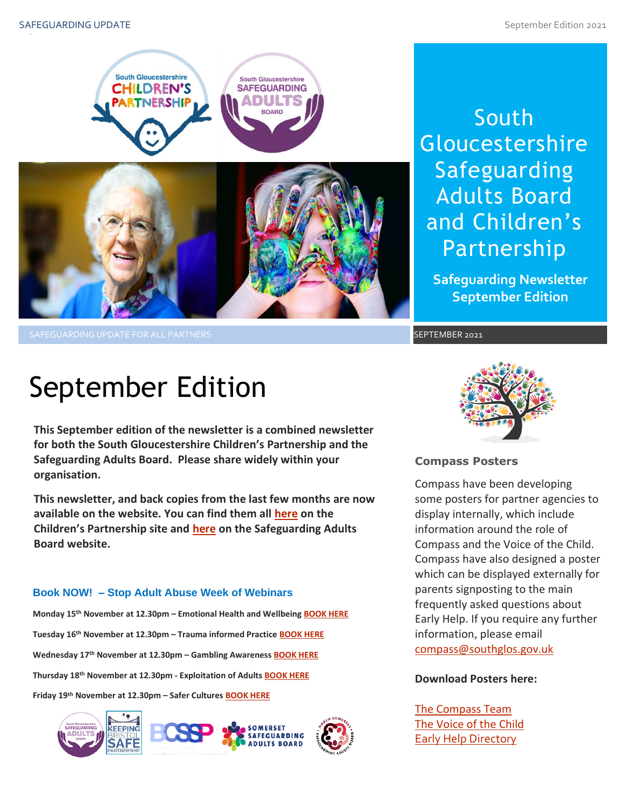

SAFEGUARDING UPDATE FOR ALL PARTNERS SEPTEMBER 2021

## South Gloucestershire Safeguarding Adults Board and Children's Partnership

**Safeguarding Newsletter September Edition**

# September Edition

**This September edition of the newsletter is a combined newsletter for both the South Gloucestershire Children's Partnership and the Safeguarding Adults Board. Please share widely within your organisation.**

**This newsletter, and back copies from the last few months are now available on the website. You can find them all [here](https://sites.southglos.gov.uk/safeguarding/children/safeguarding-children-board/scb-minutes-of-meetings/) on the Children's Partnership site and [here](https://sites.southglos.gov.uk/safeguarding/adults/safeguarding-adults-board/newsletters-2/) on the Safeguarding Adults Board website.**

### **Book NOW! – Stop Adult Abuse Week of Webinars**

**Monday 15th November at 12.30pm – Emotional Health and Wellbeing [BOOK HERE](https://www.eventbrite.co.uk/e/165751010735) Tuesday 16th November at 12.30pm – Trauma informed Practice [BOOK HERE](https://www.eventbrite.co.uk/e/165776338491) Wednesday 17th November at 12.30pm – Gambling Awareness [BOOK HERE](https://www.eventbrite.co.uk/e/166286432195) Thursday 18th November at 12.30pm - Exploitation of Adults [BOOK HERE](https://www.eventbrite.co.uk/e/166292123217) Friday 19th November at 12.30pm – Safer Cultures [BOOK HERE](https://www.eventbrite.co.uk/e/166292349895)**





### **Compass Posters**

Early Help. If you require any further<br>information, please email Compass have been developing some posters for partner agencies to display internally, which include information around the role of Compass and the Voice of the Child. Compass have also designed a poster which can be displayed externally for parents signposting to the main frequently asked questions about information, please email [compass@southglos.gov.uk](mailto:compass@southglos.gov.uk)

#### **Download Posters here:**

[The Compass Team](http://sites.southglos.gov.uk/safeguarding/wp-content/uploads/sites/221/2015/05/Professionals-The-Compass-Team.pdf) [The Voice of the Child](http://sites.southglos.gov.uk/safeguarding/wp-content/uploads/sites/221/2015/05/Voice-of-the-Child-poster-May-2021.pdf) **[Early Help Directory](http://sites.southglos.gov.uk/safeguarding/wp-content/uploads/sites/221/2015/05/Early-Help-Poster-Sept-21.pdf)**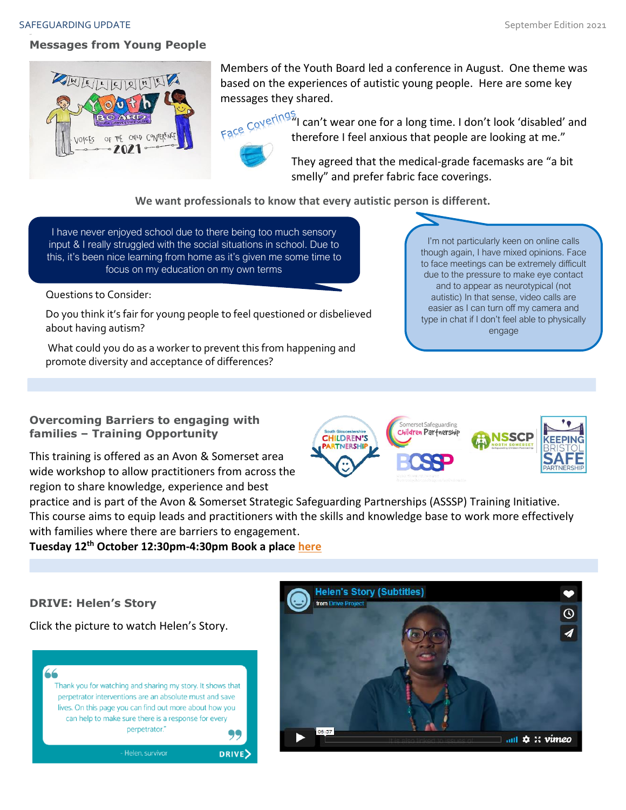#### SAFEGUARDING UPDATE SAFEGUARDING UPDATE SEPTEMBER 2021

### **Messages from Young People**



Members of the Youth Board led a conference in August. One theme was based on the experiences of autistic young people. Here are some key messages they shared.



Face Coverings, can't wear one for a long time. I don't look 'disabled' and therefore I feel anxious that people are looking at me." They agreed that the medical-grade facemasks are "a bit

smelly" and prefer fabric face coverings.

**We want professionals to know that every autistic person is different.**

I have never enjoyed school due to there being too much sensory input & I really struggled with the social situations in school. Due to this, it's been nice learning from home as it's given me some time to focus on my education on my own terms

Questions to Consider:

Do you think it's fair for young people to feel questioned or disbelieved about having autism?

What could you do as a worker to prevent this from happening and promote diversity and acceptance of differences?

I'm not particularly keen on online calls though again, I have mixed opinions. Face to face meetings can be extremely difficult due to the pressure to make eye contact and to appear as neurotypical (not autistic) In that sense, video calls are easier as I can turn off my camera and type in chat if I don't feel able to physically engage

**Overcoming Barriers to engaging with families – Training Opportunity**

This training is offered as an Avon & Somerset area wide workshop to allow practitioners from across the region to share knowledge, experience and best

Somerset Safeguarding Children Partnership **CHILDREN'S ISSCP ITNERSHIP** 

practice and is part of the Avon & Somerset Strategic Safeguarding Partnerships (ASSSP) Training Initiative. This course aims to equip leads and practitioners with the skills and knowledge base to work more effectively with families where there are barriers to engagement.

**Tuesday 12th October 12:30pm-4:30pm Book a place [here](https://safeguardingsomerset.event-booking.org.uk/event-detail/%3DEzN0MTM/Overcoming-Barriers-to-Engaging-with-Families---Avon--Somerset-Regional-Training)**

**DRIVE: Helen's Story**

Click the picture to watch Helen's Story.